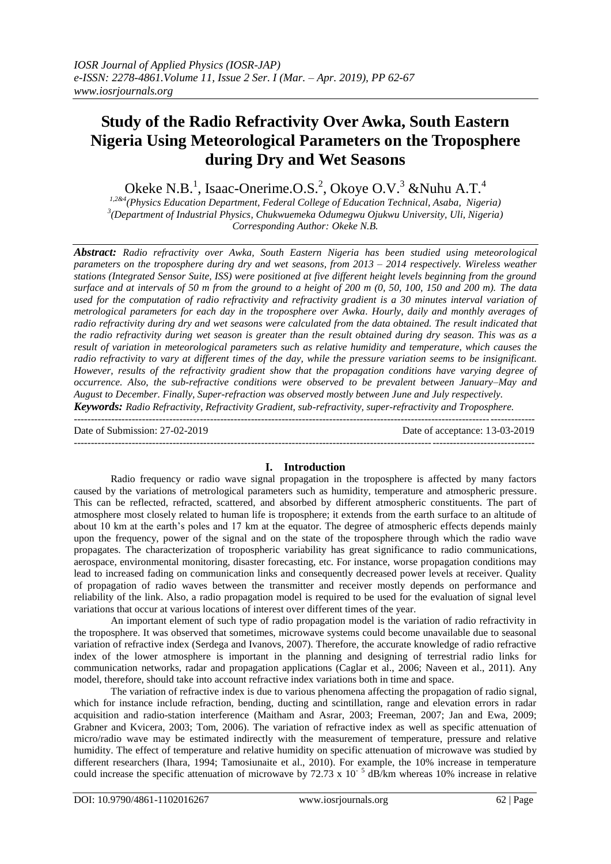## **Study of the Radio Refractivity Over Awka, South Eastern Nigeria Using Meteorological Parameters on the Troposphere during Dry and Wet Seasons**

Okeke N.B.<sup>1</sup>, Isaac-Onerime.O.S.<sup>2</sup>, Okoye O.V.<sup>3</sup> & Nuhu A.T.<sup>4</sup>

*1,2&4(Physics Education Department, Federal College of Education Technical, Asaba, Nigeria) 3 (Department of Industrial Physics, Chukwuemeka Odumegwu Ojukwu University, Uli, Nigeria) Corresponding Author: Okeke N.B.*

*Abstract: Radio refractivity over Awka, South Eastern Nigeria has been studied using meteorological parameters on the troposphere during dry and wet seasons, from 2013 – 2014 respectively. Wireless weather stations (Integrated Sensor Suite, ISS) were positioned at five different height levels beginning from the ground surface and at intervals of 50 m from the ground to a height of 200 m (0, 50, 100, 150 and 200 m). The data*  used for the computation of radio refractivity and refractivity gradient is a 30 minutes interval variation of *metrological parameters for each day in the troposphere over Awka. Hourly, daily and monthly averages of radio refractivity during dry and wet seasons were calculated from the data obtained. The result indicated that the radio refractivity during wet season is greater than the result obtained during dry season. This was as a result of variation in meteorological parameters such as relative humidity and temperature, which causes the radio refractivity to vary at different times of the day, while the pressure variation seems to be insignificant. However, results of the refractivity gradient show that the propagation conditions have varying degree of occurrence. Also, the sub-refractive conditions were observed to be prevalent between January–May and August to December. Finally, Super-refraction was observed mostly between June and July respectively.*

*Keywords: Radio Refractivity, Refractivity Gradient, sub-refractivity, super-refractivity and Troposphere.* ---------------------------------------------------------------------------------------------------------------------------------------

Date of Submission: 27-02-2019 Date of acceptance: 13-03-2019 ---------------------------------------------------------------------------------------------------------------------------------------

#### **I. Introduction**

Radio frequency or radio wave signal propagation in the troposphere is affected by many factors caused by the variations of metrological parameters such as humidity, temperature and atmospheric pressure. This can be reflected, refracted, scattered, and absorbed by different atmospheric constituents. The part of atmosphere most closely related to human life is troposphere; it extends from the earth surface to an altitude of about 10 km at the earth's poles and 17 km at the equator. The degree of atmospheric effects depends mainly upon the frequency, power of the signal and on the state of the troposphere through which the radio wave propagates. The characterization of tropospheric variability has great significance to radio communications, aerospace, environmental monitoring, disaster forecasting, etc. For instance, worse propagation conditions may lead to increased fading on communication links and consequently decreased power levels at receiver. Quality of propagation of radio waves between the transmitter and receiver mostly depends on performance and reliability of the link. Also, a radio propagation model is required to be used for the evaluation of signal level variations that occur at various locations of interest over different times of the year.

An important element of such type of radio propagation model is the variation of radio refractivity in the troposphere. It was observed that sometimes, microwave systems could become unavailable due to seasonal variation of refractive index (Serdega and Ivanovs, 2007). Therefore, the accurate knowledge of radio refractive index of the lower atmosphere is important in the planning and designing of terrestrial radio links for communication networks, radar and propagation applications (Caglar et al., 2006; Naveen et al., 2011). Any model, therefore, should take into account refractive index variations both in time and space.

The variation of refractive index is due to various phenomena affecting the propagation of radio signal, which for instance include refraction, bending, ducting and scintillation, range and elevation errors in radar acquisition and radio-station interference (Maitham and Asrar, 2003; Freeman, 2007; Jan and Ewa, 2009; Grabner and Kvicera, 2003; Tom, 2006). The variation of refractive index as well as specific attenuation of micro/radio wave may be estimated indirectly with the measurement of temperature, pressure and relative humidity. The effect of temperature and relative humidity on specific attenuation of microwave was studied by different researchers (Ihara, 1994; Tamosiunaite et al., 2010). For example, the 10% increase in temperature could increase the specific attenuation of microwave by  $72.73 \times 10^{-5}$  dB/km whereas 10% increase in relative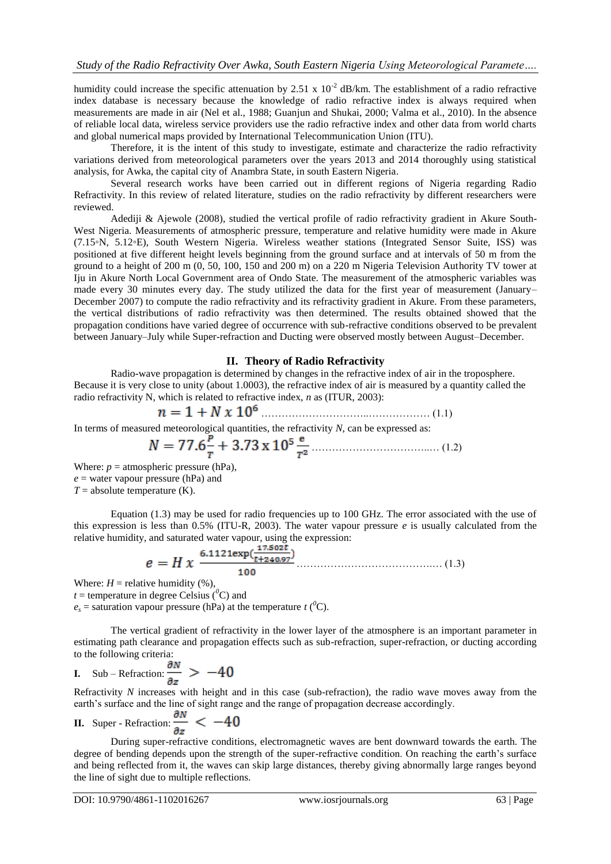humidity could increase the specific attenuation by 2.51 x  $10^{-2}$  dB/km. The establishment of a radio refractive index database is necessary because the knowledge of radio refractive index is always required when measurements are made in air (Nel et al., 1988; Guanjun and Shukai, 2000; Valma et al., 2010). In the absence of reliable local data, wireless service providers use the radio refractive index and other data from world charts and global numerical maps provided by International Telecommunication Union (ITU).

Therefore, it is the intent of this study to investigate, estimate and characterize the radio refractivity variations derived from meteorological parameters over the years 2013 and 2014 thoroughly using statistical analysis, for Awka, the capital city of Anambra State, in south Eastern Nigeria.

Several research works have been carried out in different regions of Nigeria regarding Radio Refractivity. In this review of related literature, studies on the radio refractivity by different researchers were reviewed.

Adediji & Ajewole (2008), studied the vertical profile of radio refractivity gradient in Akure South-West Nigeria. Measurements of atmospheric pressure, temperature and relative humidity were made in Akure (7.15*◦*N, 5.12*◦*E), South Western Nigeria. Wireless weather stations (Integrated Sensor Suite, ISS) was positioned at five different height levels beginning from the ground surface and at intervals of 50 m from the ground to a height of 200 m (0, 50, 100, 150 and 200 m) on a 220 m Nigeria Television Authority TV tower at Iju in Akure North Local Government area of Ondo State. The measurement of the atmospheric variables was made every 30 minutes every day. The study utilized the data for the first year of measurement (January– December 2007) to compute the radio refractivity and its refractivity gradient in Akure. From these parameters, the vertical distributions of radio refractivity was then determined. The results obtained showed that the propagation conditions have varied degree of occurrence with sub-refractive conditions observed to be prevalent between January–July while Super-refraction and Ducting were observed mostly between August–December.

#### **II. Theory of Radio Refractivity**

Radio-wave propagation is determined by changes in the refractive index of air in the troposphere. Because it is very close to unity (about 1.0003), the refractive index of air is measured by a quantity called the radio refractivity N, which is related to refractive index, *n* as (ITUR, 2003):

…………………………..……………… (1.1)

In terms of measured meteorological quantities, the refractivity *N*, can be expressed as:

……………………………..… (1.2)

Where:  $p =$  atmospheric pressure (hPa),  $e$  = water vapour pressure (hPa) and  $T =$  absolute temperature  $(K)$ .

Equation (1.3) may be used for radio frequencies up to 100 GHz. The error associated with the use of this expression is less than 0.5% (ITU-R, 2003). The water vapour pressure  $e$  is usually calculated from the relative humidity, and saturated water vapour, using the expression:

………………………………….… (1.3)

Where:  $H =$  relative humidity  $(\%)$ ,

 $t =$  temperature in degree Celsius ( ${}^{0}C$ ) and

 $e_s$  = saturation vapour pressure (hPa) at the temperature *t* (<sup>0</sup>C).

The vertical gradient of refractivity in the lower layer of the atmosphere is an important parameter in estimating path clearance and propagation effects such as sub-refraction, super-refraction, or ducting according to the following criteria:

I. Sub-Refraction: 
$$
\frac{\partial N}{\partial z} > -40
$$

Refractivity *N* increases with height and in this case (sub-refraction), the radio wave moves away from the earth's surface and the line of sight range and the range of propagation decrease accordingly.

**II.** Super-Refraction: 
$$
\frac{\partial N}{\partial z} < -40
$$

During super-refractive conditions, electromagnetic waves are bent downward towards the earth. The degree of bending depends upon the strength of the super-refractive condition. On reaching the earth's surface and being reflected from it, the waves can skip large distances, thereby giving abnormally large ranges beyond the line of sight due to multiple reflections.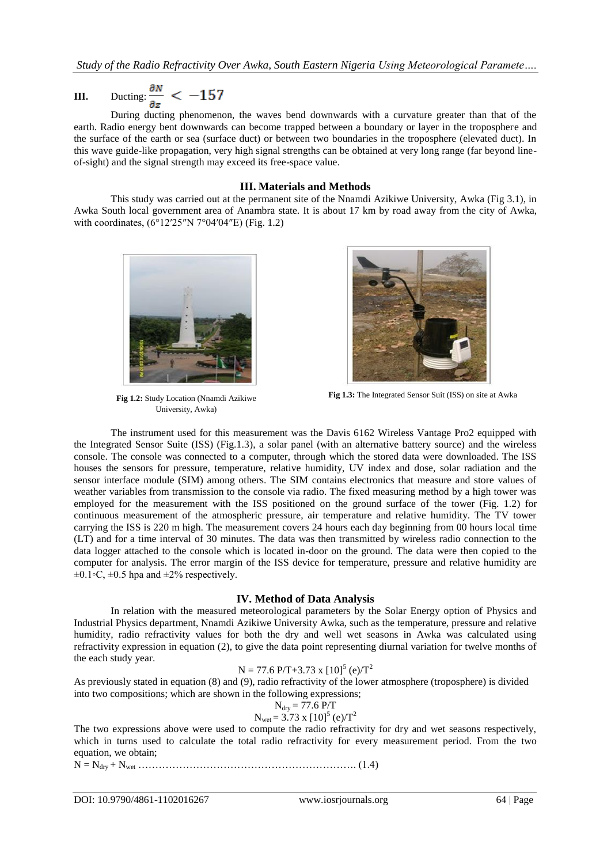# **III.** Ducting:  $\frac{\partial N}{\partial z} < -157$

During ducting phenomenon, the waves bend downwards with a curvature greater than that of the earth. Radio energy bent downwards can become trapped between a boundary or layer in the troposphere and the surface of the earth or sea (surface duct) or between two boundaries in the troposphere (elevated duct). In this wave guide-like propagation, very high signal strengths can be obtained at very long range (far beyond lineof-sight) and the signal strength may exceed its free-space value.

#### **III. Materials and Methods**

This study was carried out at the permanent site of the Nnamdi Azikiwe University, Awka (Fig 3.1), in Awka South local government area of Anambra state. It is about 17 km by road away from the city of Awka, with coordinates, (6°12′25″N 7°04′04″E) (Fig. 1.2)



**Fig 1.2:** Study Location (Nnamdi Azikiwe University, Awka)



**Fig 1.3:** The Integrated Sensor Suit (ISS) on site at Awka

The instrument used for this measurement was the Davis 6162 Wireless Vantage Pro2 equipped with the Integrated Sensor Suite (ISS) (Fig.1.3), a solar panel (with an alternative battery source) and the wireless console. The console was connected to a computer, through which the stored data were downloaded. The ISS houses the sensors for pressure, temperature, relative humidity, UV index and dose, solar radiation and the sensor interface module (SIM) among others. The SIM contains electronics that measure and store values of weather variables from transmission to the console via radio. The fixed measuring method by a high tower was employed for the measurement with the ISS positioned on the ground surface of the tower (Fig. 1.2) for continuous measurement of the atmospheric pressure, air temperature and relative humidity. The TV tower carrying the ISS is 220 m high. The measurement covers 24 hours each day beginning from 00 hours local time (LT) and for a time interval of 30 minutes. The data was then transmitted by wireless radio connection to the data logger attached to the console which is located in-door on the ground. The data were then copied to the computer for analysis. The error margin of the ISS device for temperature, pressure and relative humidity are  $\pm 0.1$ ∘C,  $\pm 0.5$  hpa and  $\pm 2\%$  respectively.

#### **IV. Method of Data Analysis**

In relation with the measured meteorological parameters by the Solar Energy option of Physics and Industrial Physics department, Nnamdi Azikiwe University Awka, such as the temperature, pressure and relative humidity, radio refractivity values for both the dry and well wet seasons in Awka was calculated using refractivity expression in equation (2), to give the data point representing diurnal variation for twelve months of the each study year.

$$
N = 77.6 \, P/T + 3.73 \, x \, [10]^5 \, (e)/T^2
$$

As previously stated in equation (8) and (9), radio refractivity of the lower atmosphere (troposphere) is divided into two compositions; which are shown in the following expressions;

$$
N_{\text{dry}} = 77.6 \, \text{P/T}
$$

 $N_{\text{wet}} = 3.73 \text{ x } [10]^5 \text{ (e)/T}^2$ 

The two expressions above were used to compute the radio refractivity for dry and wet seasons respectively, which in turns used to calculate the total radio refractivity for every measurement period. From the two equation, we obtain;

N = Ndry + Nwet ………………………………………………………. (1.4)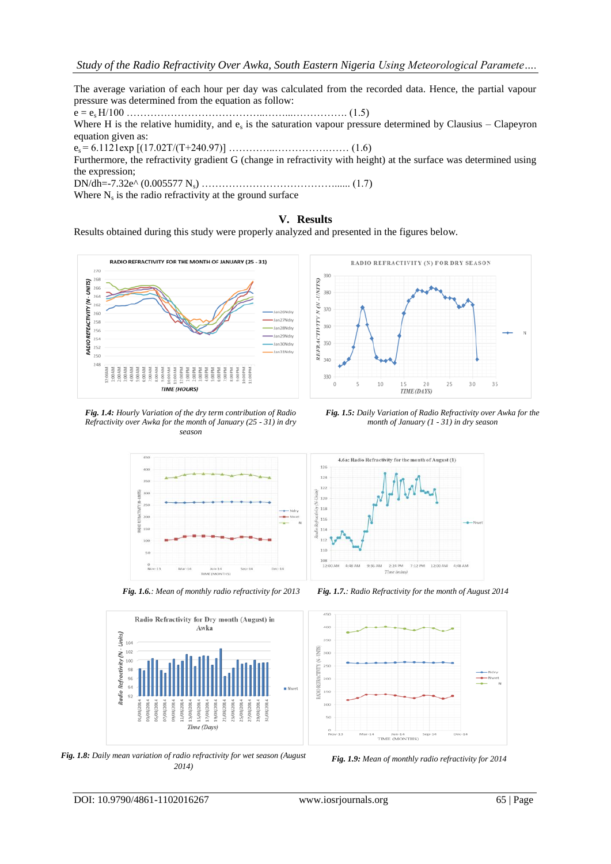The average variation of each hour per day was calculated from the recorded data. Hence, the partial vapour pressure was determined from the equation as follow: e = es H/100 …………………………………..……...……………. (1.5) Where H is the relative humidity, and  $e_s$  is the saturation vapour pressure determined by Clausius – Clapeyron equation given as: es = 6.1121exp [(17.02T/(T+240.97)] …………..…………….…… (1.6) Furthermore, the refractivity gradient G (change in refractivity with height) at the surface was determined using the expression; DN/dh=-7.32e^ (0.005577 Ns) …………………………………...... (1.7)

Where  $N_s$  is the radio refractivity at the ground surface

### **V. Results**

Results obtained during this study were properly analyzed and presented in the figures below.



*Fig. 1.4: Hourly Variation of the dry term contribution of Radio Refractivity over Awka for the month of January (25 - 31) in dry season*

*Fig. 1.5: Daily Variation of Radio Refractivity over Awka for the month of January (1 - 31) in dry season*

TIME (DAYS)

25

 $30$ 

35





*Fig. 1.9: Mean of monthly radio refractivity for 2014 Fig. 1.8: Daily mean variation of radio refractivity for wet season (August 2014)*



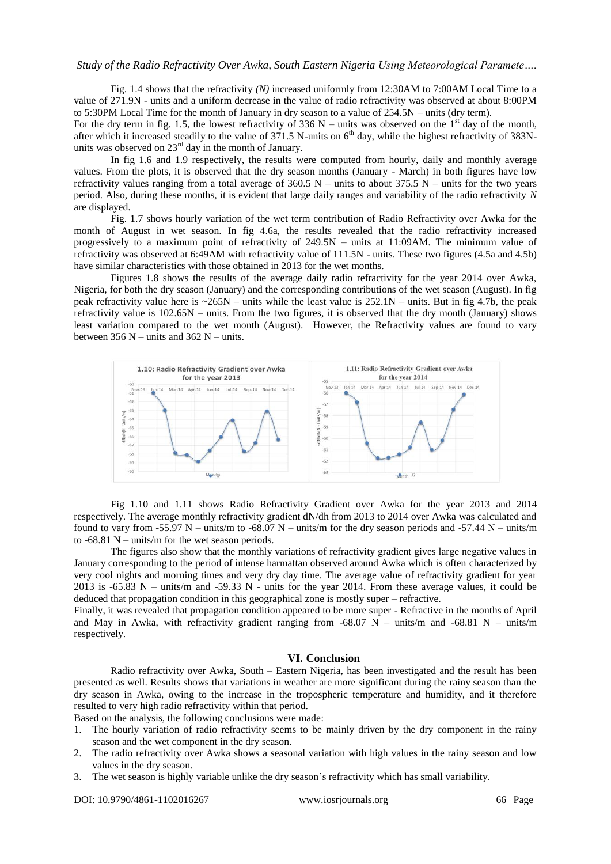Fig. 1.4 shows that the refractivity *(N)* increased uniformly from 12:30AM to 7:00AM Local Time to a value of 271.9N - units and a uniform decrease in the value of radio refractivity was observed at about 8:00PM to 5:30PM Local Time for the month of January in dry season to a value of 254.5N – units (dry term).

For the dry term in fig. 1.5, the lowest refractivity of 336 N – units was observed on the 1<sup>st</sup> day of the month, after which it increased steadily to the value of 371.5 N-units on  $6<sup>th</sup>$  day, while the highest refractivity of 383Nunits was observed on 23<sup>rd</sup> day in the month of January.

In fig 1.6 and 1.9 respectively, the results were computed from hourly, daily and monthly average values. From the plots, it is observed that the dry season months (January - March) in both figures have low refractivity values ranging from a total average of  $360.5$  N – units to about  $375.5$  N – units for the two years period. Also, during these months, it is evident that large daily ranges and variability of the radio refractivity *N*  are displayed.

Fig. 1.7 shows hourly variation of the wet term contribution of Radio Refractivity over Awka for the month of August in wet season. In fig 4.6a, the results revealed that the radio refractivity increased progressively to a maximum point of refractivity of 249.5N – units at 11:09AM. The minimum value of refractivity was observed at 6:49AM with refractivity value of 111.5N - units. These two figures (4.5a and 4.5b) have similar characteristics with those obtained in 2013 for the wet months.

Figures 1.8 shows the results of the average daily radio refractivity for the year 2014 over Awka, Nigeria, for both the dry season (January) and the corresponding contributions of the wet season (August). In fig peak refractivity value here is  $\sim$ 265N – units while the least value is 252.1N – units. But in fig 4.7b, the peak refractivity value is 102.65N – units. From the two figures, it is observed that the dry month (January) shows least variation compared to the wet month (August). However, the Refractivity values are found to vary between  $356$  N – units and  $362$  N – units.



Fig 1.10 and 1.11 shows Radio Refractivity Gradient over Awka for the year 2013 and 2014 respectively. The average monthly refractivity gradient dN/dh from 2013 to 2014 over Awka was calculated and found to vary from -55.97 N – units/m to -68.07 N – units/m for the dry season periods and -57.44 N – units/m to  $-68.81$  N – units/m for the wet season periods.

The figures also show that the monthly variations of refractivity gradient gives large negative values in January corresponding to the period of intense harmattan observed around Awka which is often characterized by very cool nights and morning times and very dry day time. The average value of refractivity gradient for year 2013 is -65.83 N – units/m and -59.33 N - units for the year 2014. From these average values, it could be deduced that propagation condition in this geographical zone is mostly super – refractive.

Finally, it was revealed that propagation condition appeared to be more super - Refractive in the months of April and May in Awka, with refractivity gradient ranging from  $-68.07$  N – units/m and  $-68.81$  N – units/m respectively.

#### **VI. Conclusion**

Radio refractivity over Awka, South – Eastern Nigeria, has been investigated and the result has been presented as well. Results shows that variations in weather are more significant during the rainy season than the dry season in Awka, owing to the increase in the tropospheric temperature and humidity, and it therefore resulted to very high radio refractivity within that period.

Based on the analysis, the following conclusions were made:

- 1. The hourly variation of radio refractivity seems to be mainly driven by the dry component in the rainy season and the wet component in the dry season.
- 2. The radio refractivity over Awka shows a seasonal variation with high values in the rainy season and low values in the dry season.
- 3. The wet season is highly variable unlike the dry season's refractivity which has small variability.